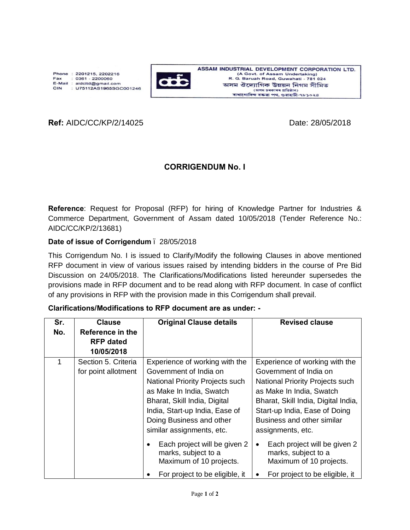



ASSAM INDUSTRIAL DEVELOPMENT CORPORATION LTD. (A Govt. of Assam Undertaking)<br>R. G. Baruah Road, Guwahati - 781 024 অসম ঔদ্যোগিক উন্নয়ন নিগম সীমিত (অসম চৰকাৰৰ প্ৰতিষ্ঠান)<br>ৰাধাগোবিন্দ বৰুৱা পথ, গুৱাহাটী-৭৮১০২৪

## **Ref:** AIDC/CC/KP/2/14025 **Date:** 28/05/2018

## **CORRIGENDUM No. I**

**Reference**: Request for Proposal (RFP) for hiring of Knowledge Partner for Industries & Commerce Department, Government of Assam dated 10/05/2018 (Tender Reference No.: AIDC/CC/KP/2/13681)

## **Date of issue of Corrigendum** – 28/05/2018

This Corrigendum No. I is issued to Clarify/Modify the following Clauses in above mentioned RFP document in view of various issues raised by intending bidders in the course of Pre Bid Discussion on 24/05/2018. The Clarifications/Modifications listed hereunder supersedes the provisions made in RFP document and to be read along with RFP document. In case of conflict of any provisions in RFP with the provision made in this Corrigendum shall prevail.

| Sr.<br>No. | <b>Clause</b><br>Reference in the<br><b>RFP</b> dated<br>10/05/2018 | <b>Original Clause details</b>                                                                                                                                                                                                                            | <b>Revised clause</b>                                                                                                                                                                                                                              |
|------------|---------------------------------------------------------------------|-----------------------------------------------------------------------------------------------------------------------------------------------------------------------------------------------------------------------------------------------------------|----------------------------------------------------------------------------------------------------------------------------------------------------------------------------------------------------------------------------------------------------|
|            | Section 5. Criteria<br>for point allotment                          | Experience of working with the<br>Government of India on<br><b>National Priority Projects such</b><br>as Make In India, Swatch<br>Bharat, Skill India, Digital<br>India, Start-up India, Ease of<br>Doing Business and other<br>similar assignments, etc. | Experience of working with the<br>Government of India on<br>National Priority Projects such<br>as Make In India, Swatch<br>Bharat, Skill India, Digital India,<br>Start-up India, Ease of Doing<br>Business and other similar<br>assignments, etc. |
|            |                                                                     | Each project will be given 2<br>marks, subject to a<br>Maximum of 10 projects.<br>For project to be eligible, it                                                                                                                                          | Each project will be given 2<br>٠<br>marks, subject to a<br>Maximum of 10 projects.<br>For project to be eligible, it                                                                                                                              |

## **Clarifications/Modifications to RFP document are as under: -**